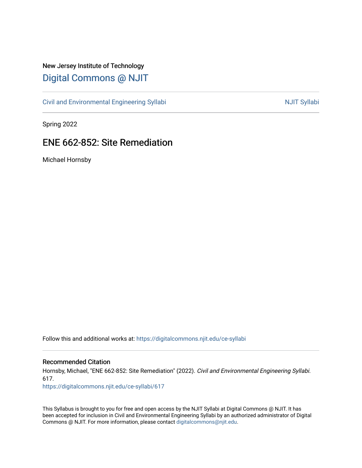# New Jersey Institute of Technology [Digital Commons @ NJIT](https://digitalcommons.njit.edu/)

[Civil and Environmental Engineering Syllabi](https://digitalcommons.njit.edu/ce-syllabi) Nulle and Syllabi NJIT Syllabi

Spring 2022

# ENE 662-852: Site Remediation

Michael Hornsby

Follow this and additional works at: [https://digitalcommons.njit.edu/ce-syllabi](https://digitalcommons.njit.edu/ce-syllabi?utm_source=digitalcommons.njit.edu%2Fce-syllabi%2F617&utm_medium=PDF&utm_campaign=PDFCoverPages)

#### Recommended Citation

Hornsby, Michael, "ENE 662-852: Site Remediation" (2022). Civil and Environmental Engineering Syllabi. 617.

[https://digitalcommons.njit.edu/ce-syllabi/617](https://digitalcommons.njit.edu/ce-syllabi/617?utm_source=digitalcommons.njit.edu%2Fce-syllabi%2F617&utm_medium=PDF&utm_campaign=PDFCoverPages)

This Syllabus is brought to you for free and open access by the NJIT Syllabi at Digital Commons @ NJIT. It has been accepted for inclusion in Civil and Environmental Engineering Syllabi by an authorized administrator of Digital Commons @ NJIT. For more information, please contact [digitalcommons@njit.edu.](mailto:digitalcommons@njit.edu)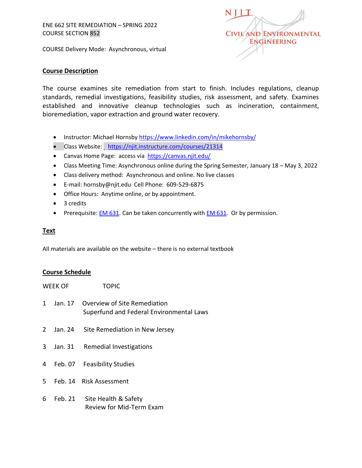COURSE Delivery Mode: Asynchronous, virtual



#### **Course Description**

The course examines site remediation from start to finish. Includes regulations, cleanup standards, remedial investigations, feasibility studies, risk assessment, and safety. Examines established and innovative cleanup technologies such as incineration, containment, bioremediation, vapor extraction and ground water recovery.

- Instructor: Michael Hornsby<https://www.linkedin.com/in/mikehornsby/>
- Class Website: <https://njit.instructure.com/courses/21314>
- Canvas Home Page: access via<https://canvas.njit.edu/>
- Class Meeting Time: Asynchronous online during the Spring Semester, January 18 May 3, 2022
- Class delivery method: Asynchronous and online. No live classes
- E-mail: [hornsby@njit.edu](mailto:hornsby@njit.edu) Cell Phone: 609-529-6875
- Office Hours: Anytime online, or by appointment.
- 3 credits
- Prerequisite:  $EM 631$ . Can be taken concurrently with  $EM 631$ . Or by permission.</u></u>

#### **Text**

All materials are available on the website – there is no external textbook

#### **Course Schedule**

| WEEK OF        |  | <b>TOPIC</b>                                                                     |  |
|----------------|--|----------------------------------------------------------------------------------|--|
| $1 \quad$      |  | Jan. 17 Overview of Site Remediation<br>Superfund and Federal Environmental Laws |  |
| $\overline{2}$ |  | Jan. 24 Site Remediation in New Jersey                                           |  |
| 3              |  | Jan. 31 Remedial Investigations                                                  |  |
|                |  | 4 Feb. 07 Feasibility Studies                                                    |  |
|                |  | 5 Feb. 14 Risk Assessment                                                        |  |
| 6              |  | Feb. 21 Site Health & Safety                                                     |  |

Review for Mid-Term Exam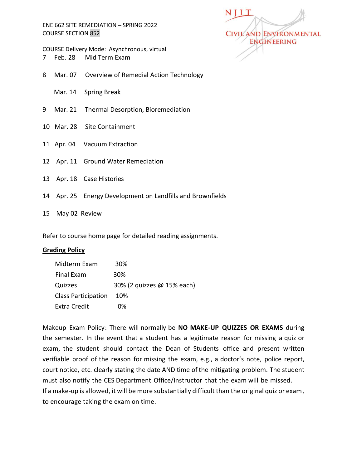COURSE Delivery Mode: Asynchronous, virtual

- 7 Feb. 28 Mid Term Exam
- 8 Mar. 07 Overview of Remedial Action Technology
	- Mar. 14 Spring Break
- 9 Mar. 21 Thermal Desorption, Bioremediation
- 10 Mar. 28 Site Containment
- 11 Apr. 04 Vacuum Extraction
- 12 Apr. 11 Ground Water Remediation
- 13 Apr. 18 Case Histories
- 14 Apr. 25 Energy Development on Landfills and Brownfields
- 15 May 02 Review

Refer to course home page for detailed reading assignments.

#### **Grading Policy**

| Midterm Exam               | 30%                        |
|----------------------------|----------------------------|
| Final Exam                 | 30 <sup>%</sup>            |
| Quizzes                    | 30% (2 quizzes @ 15% each) |
| <b>Class Participation</b> | 10%                        |
| <b>Extra Credit</b>        | በ%                         |

Makeup Exam Policy: There will normally be **NO MAKE-UP QUIZZES OR EXAMS** during the semester. In the event that a student has a legitimate reason for missing a quiz or exam, the student should contact the Dean of Students office and present written verifiable proof of the reason for missing the exam, e.g., a doctor's note, police report, court notice, etc. clearly stating the date AND time of the mitigating problem. The student must also notify the CES Department Office/Instructor that the exam will be missed. If a make-up is allowed, it will be more substantially difficult than the original quiz or exam, to encourage taking the exam on time.

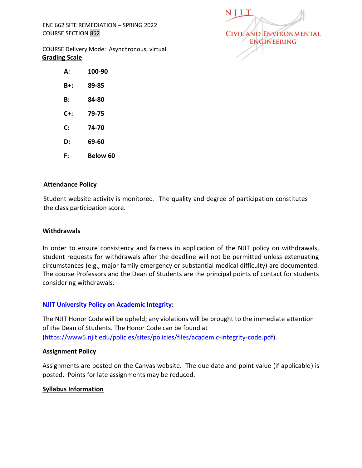

COURSE Delivery Mode: Asynchronous, virtual **Grading Scale**

- **A: 100-90 B+: 89-85 B: 84-80**
- **C+: 79-75**
- **C: 74-70**
- **D: 69-60**
- **F: Below 60**

# **Attendance Policy**

Student website activity is monitored. The quality and degree of participation constitutes the class participation score.

# **Withdrawals**

In order to ensure consistency and fairness in application of the NJIT policy on withdrawals, student requests for withdrawals after the deadline will not be permitted unless extenuating circumstances (e.g., major family emergency or substantial medical difficulty) are documented. The course Professors and the Dean of Students are the principal points of contact for students considering withdrawals.

# **[NJIT University Policy on Academic Integrity:](https://www.njit.edu/dos/sites/njit.edu.dos/files/NJIT%20University%20Policy%20on%20Academic%20Integrity_0.pdf)**

The NJIT Honor Code will be upheld; any violations will be brought to the immediate attention of the Dean of Students. The Honor Code can be found at [\(https://www5.njit.edu/policies/sites/policies/files/academic-integrity-code.pdf\)](https://www5.njit.edu/policies/sites/policies/files/academic-integrity-code.pdf).

#### **Assignment Policy**

Assignments are posted on the Canvas website. The due date and point value (if applicable) is posted. Points for late assignments may be reduced.

#### **Syllabus Information**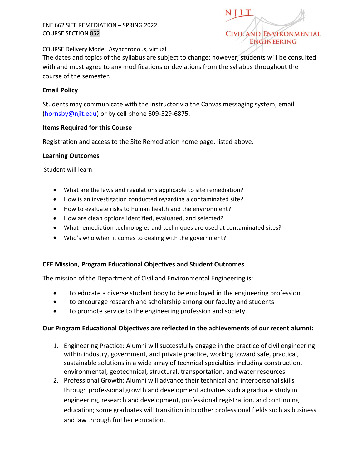

COURSE Delivery Mode: Asynchronous, virtual

The dates and topics of the syllabus are subject to change; however, students will be consulted with and must agree to any modifications or deviations from the syllabus throughout the course of the semester.

#### **Email Policy**

Students may communicate with the instructor via the Canvas messaging system, email [\(hornsby@njit.edu\)](mailto:hornsby@njit.edu) or by cell phone 609-529-6875.

#### **Items Required for this Course**

Registration and access to the Site Remediation home page, listed above.

#### **Learning Outcomes**

Student will learn:

- What are the laws and regulations applicable to site remediation?
- How is an investigation conducted regarding a contaminated site?
- How to evaluate risks to human health and the environment?
- How are clean options identified, evaluated, and selected?
- What remediation technologies and techniques are used at contaminated sites?
- Who's who when it comes to dealing with the government?

# **CEE Mission, Program Educational Objectives and Student Outcomes**

The mission of the Department of Civil and Environmental Engineering is:

- to educate a diverse student body to be employed in the engineering profession
- to encourage research and scholarship among our faculty and students
- to promote service to the engineering profession and society

# **Our Program Educational Objectives are reflected in the achievements of our recent alumni:**

- 1. Engineering Practice: Alumni will successfully engage in the practice of civil engineering within industry, government, and private practice, working toward safe, practical, sustainable solutions in a wide array of technical specialties including construction, environmental, geotechnical, structural, transportation, and water resources.
- 2. Professional Growth: Alumni will advance their technical and interpersonal skills through professional growth and development activities such a graduate study in engineering, research and development, professional registration, and continuing education; some graduates will transition into other professional fields such as business and law through further education.